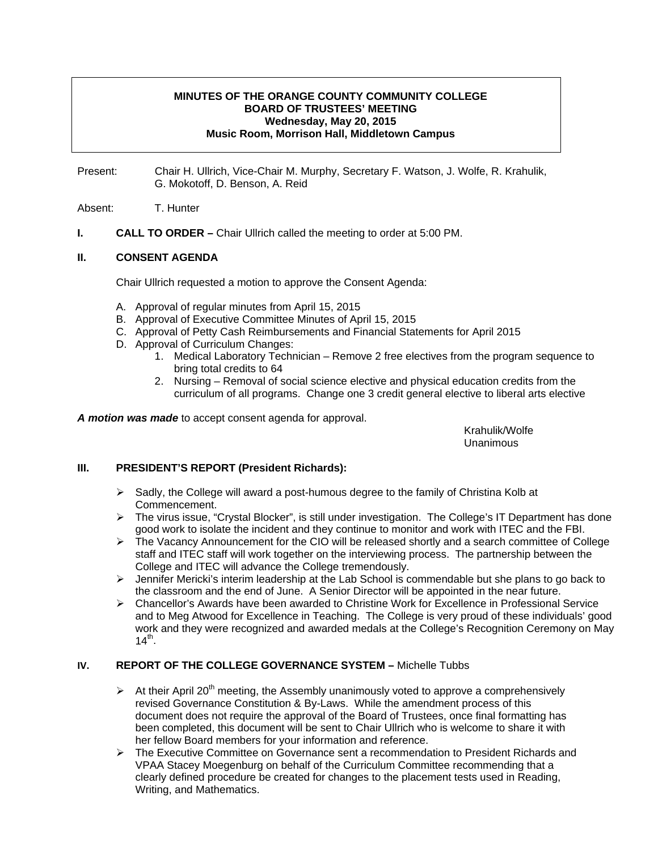### **MINUTES OF THE ORANGE COUNTY COMMUNITY COLLEGE BOARD OF TRUSTEES' MEETING Wednesday, May 20, 2015 Music Room, Morrison Hall, Middletown Campus**

Present: Chair H. Ullrich, Vice-Chair M. Murphy, Secretary F. Watson, J. Wolfe, R. Krahulik, G. Mokotoff, D. Benson, A. Reid

Absent: T. Hunter

**I.** CALL TO ORDER – Chair Ullrich called the meeting to order at 5:00 PM.

### **II. CONSENT AGENDA**

Chair Ullrich requested a motion to approve the Consent Agenda:

- A. Approval of regular minutes from April 15, 2015
- B. Approval of Executive Committee Minutes of April 15, 2015
- C. Approval of Petty Cash Reimbursements and Financial Statements for April 2015
- D. Approval of Curriculum Changes:
	- 1. Medical Laboratory Technician Remove 2 free electives from the program sequence to bring total credits to 64
	- 2. Nursing Removal of social science elective and physical education credits from the curriculum of all programs. Change one 3 credit general elective to liberal arts elective

*A motion was made* to accept consent agenda for approval.

 Krahulik/Wolfe Unanimous

## **III. PRESIDENT'S REPORT (President Richards):**

- $\triangleright$  Sadly, the College will award a post-humous degree to the family of Christina Kolb at Commencement.
- ¾ The virus issue, "Crystal Blocker", is still under investigation. The College's IT Department has done good work to isolate the incident and they continue to monitor and work with ITEC and the FBI.
- good work to isolate the incluent and they continue to monitor and work with the Using the FBI.<br>The Vacancy Announcement for the CIO will be released shortly and a search committee of College staff and ITEC staff will work together on the interviewing process. The partnership between the College and ITEC will advance the College tremendously.
- $\triangleright$  Jennifer Mericki's interim leadership at the Lab School is commendable but she plans to go back to the classroom and the end of June. A Senior Director will be appointed in the near future.
- ¾ Chancellor's Awards have been awarded to Christine Work for Excellence in Professional Service and to Meg Atwood for Excellence in Teaching. The College is very proud of these individuals' good work and they were recognized and awarded medals at the College's Recognition Ceremony on May  $14^{th}$ .

#### **IV. REPORT OF THE COLLEGE GOVERNANCE SYSTEM –** Michelle Tubbs

- $\triangleright$  At their April 20<sup>th</sup> meeting, the Assembly unanimously voted to approve a comprehensively revised Governance Constitution & By-Laws. While the amendment process of this document does not require the approval of the Board of Trustees, once final formatting has been completed, this document will be sent to Chair Ullrich who is welcome to share it with her fellow Board members for your information and reference.
- ¾ The Executive Committee on Governance sent a recommendation to President Richards and VPAA Stacey Moegenburg on behalf of the Curriculum Committee recommending that a clearly defined procedure be created for changes to the placement tests used in Reading, Writing, and Mathematics.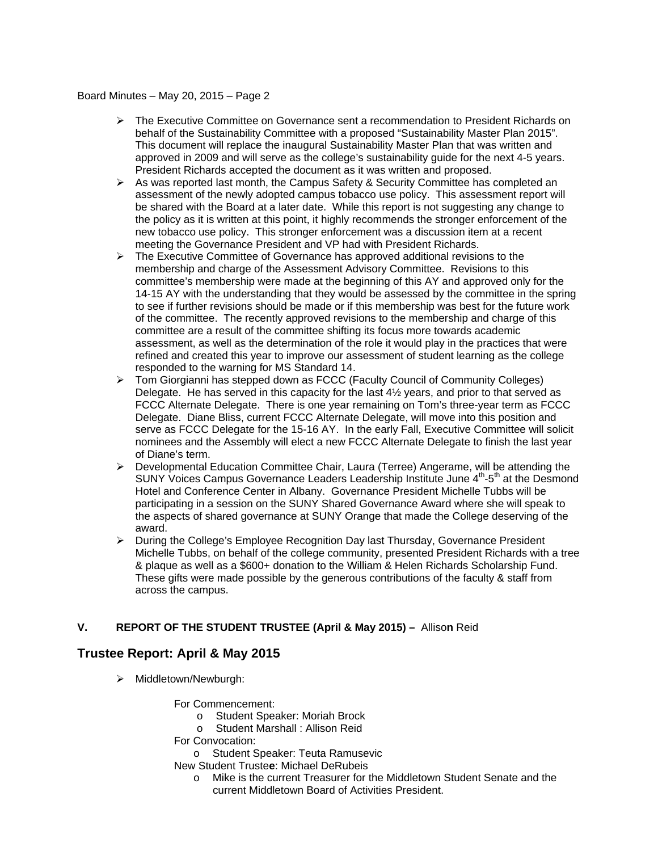- ¾ The Executive Committee on Governance sent a recommendation to President Richards on behalf of the Sustainability Committee with a proposed "Sustainability Master Plan 2015". This document will replace the inaugural Sustainability Master Plan that was written and approved in 2009 and will serve as the college's sustainability guide for the next 4-5 years. President Richards accepted the document as it was written and proposed.
- $\triangleright$  As was reported last month, the Campus Safety & Security Committee has completed an assessment of the newly adopted campus tobacco use policy. This assessment report will be shared with the Board at a later date. While this report is not suggesting any change to the policy as it is written at this point, it highly recommends the stronger enforcement of the new tobacco use policy. This stronger enforcement was a discussion item at a recent meeting the Governance President and VP had with President Richards.
- $\triangleright$  The Executive Committee of Governance has approved additional revisions to the membership and charge of the Assessment Advisory Committee. Revisions to this committee's membership were made at the beginning of this AY and approved only for the 14-15 AY with the understanding that they would be assessed by the committee in the spring to see if further revisions should be made or if this membership was best for the future work of the committee. The recently approved revisions to the membership and charge of this committee are a result of the committee shifting its focus more towards academic assessment, as well as the determination of the role it would play in the practices that were refined and created this year to improve our assessment of student learning as the college responded to the warning for MS Standard 14.
- ¾ Tom Giorgianni has stepped down as FCCC (Faculty Council of Community Colleges) Delegate. He has served in this capacity for the last  $4\frac{1}{2}$  years, and prior to that served as FCCC Alternate Delegate. There is one year remaining on Tom's three-year term as FCCC Delegate. Diane Bliss, current FCCC Alternate Delegate, will move into this position and serve as FCCC Delegate for the 15-16 AY. In the early Fall, Executive Committee will solicit nominees and the Assembly will elect a new FCCC Alternate Delegate to finish the last year of Diane's term.
- ¾ Developmental Education Committee Chair, Laura (Terree) Angerame, will be attending the SUNY Voices Campus Governance Leaders Leadership Institute June  $4<sup>th</sup>$ -5<sup>th</sup> at the Desmond Hotel and Conference Center in Albany. Governance President Michelle Tubbs will be participating in a session on the SUNY Shared Governance Award where she will speak to the aspects of shared governance at SUNY Orange that made the College deserving of the award.
- ¾ During the College's Employee Recognition Day last Thursday, Governance President Michelle Tubbs, on behalf of the college community, presented President Richards with a tree & plaque as well as a \$600+ donation to the William & Helen Richards Scholarship Fund. These gifts were made possible by the generous contributions of the faculty & staff from across the campus.

## **V. REPORT OF THE STUDENT TRUSTEE (April & May 2015) –** Alliso**n** Reid

## **Trustee Report: April & May 2015**

- ¾ Middletown/Newburgh:
	- For Commencement:
		- o Student Speaker: Moriah Brock
		- o Student Marshall : Allison Reid
	- For Convocation:
		- o Student Speaker: Teuta Ramusevic

New Student Truste**e**: Michael DeRubeis

o Mike is the current Treasurer for the Middletown Student Senate and the current Middletown Board of Activities President.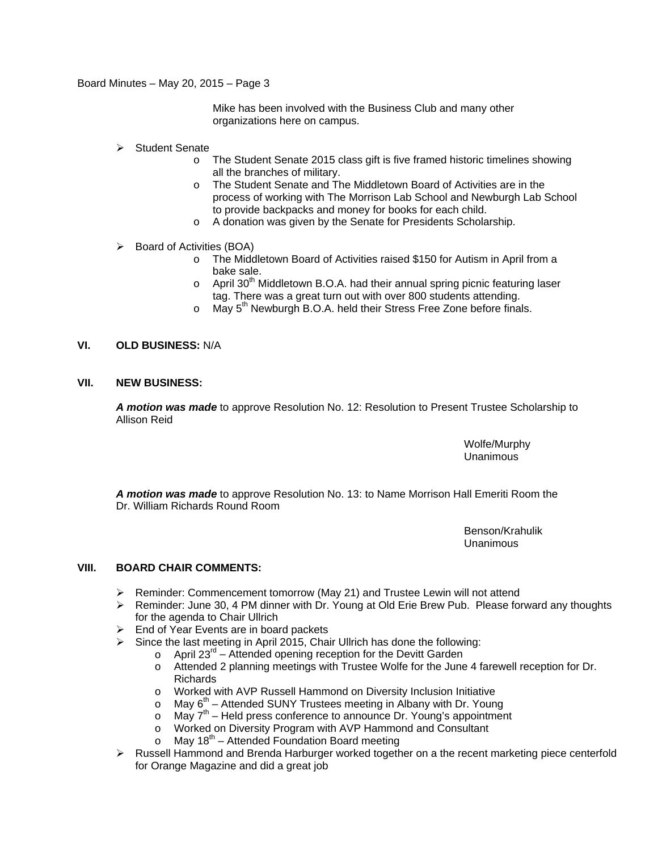Mike has been involved with the Business Club and many other organizations here on campus.

- $\triangleright$  Student Senate
	- o The Student Senate 2015 class gift is five framed historic timelines showing all the branches of military.
	- o The Student Senate and The Middletown Board of Activities are in the process of working with The Morrison Lab School and Newburgh Lab School to provide backpacks and money for books for each child.
	- o A donation was given by the Senate for Presidents Scholarship.
- ¾ Board of Activities (BOA)
	- o The Middletown Board of Activities raised \$150 for Autism in April from a bake sale.
	- $\circ$  April 30<sup>th</sup> Middletown B.O.A. had their annual spring picnic featuring laser tag. There was a great turn out with over 800 students attending.
	- $\circ$  May 5<sup>th</sup> Newburgh B.O.A. held their Stress Free Zone before finals.

### **VI. OLD BUSINESS:** N/A

#### **VII. NEW BUSINESS:**

*A motion was made* to approve Resolution No. 12: Resolution to Present Trustee Scholarship to Allison Reid

> Wolfe/Murphy Unanimous

*A motion was made* to approve Resolution No. 13: to Name Morrison Hall Emeriti Room the Dr. William Richards Round Room

> Benson/Krahulik Unanimous

#### **VIII. BOARD CHAIR COMMENTS:**

- $\triangleright$  Reminder: Commencement tomorrow (May 21) and Trustee Lewin will not attend
- ¾ Reminder: June 30, 4 PM dinner with Dr. Young at Old Erie Brew Pub. Please forward any thoughts for the agenda to Chair Ullrich
- $\triangleright$  End of Year Events are in board packets
- $\triangleright$  Since the last meeting in April 2015, Chair Ullrich has done the following:
	- $\circ$  April 23<sup>rd</sup> Attended opening reception for the Devitt Garden
	- o Attended 2 planning meetings with Trustee Wolfe for the June 4 farewell reception for Dr. Richards
	- o Worked with AVP Russell Hammond on Diversity Inclusion Initiative
	- $\circ$  May  $6^{th}$  Attended SUNY Trustees meeting in Albany with Dr. Young
	- $\circ$  May  $7^{th}$  Held press conference to announce Dr. Young's appointment
	- o Worked on Diversity Program with AVP Hammond and Consultant
	- $\circ$  May 18<sup>th</sup> Attended Foundation Board meeting
- ¾ Russell Hammond and Brenda Harburger worked together on a the recent marketing piece centerfold for Orange Magazine and did a great job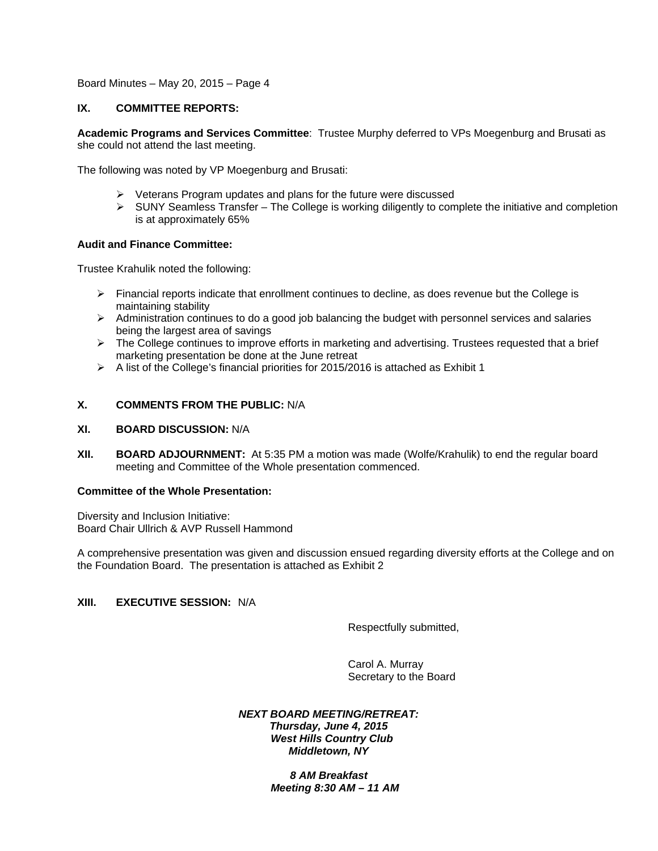### **IX. COMMITTEE REPORTS:**

**Academic Programs and Services Committee**: Trustee Murphy deferred to VPs Moegenburg and Brusati as she could not attend the last meeting.

The following was noted by VP Moegenburg and Brusati:

- $\triangleright$  Veterans Program updates and plans for the future were discussed
- $\triangleright$  SUNY Seamless Transfer The College is working diligently to complete the initiative and completion is at approximately 65%

### **Audit and Finance Committee:**

Trustee Krahulik noted the following:

- $\triangleright$  Financial reports indicate that enrollment continues to decline, as does revenue but the College is maintaining stability
- $\triangleright$  Administration continues to do a good job balancing the budget with personnel services and salaries being the largest area of savings
- $\triangleright$  The College continues to improve efforts in marketing and advertising. Trustees requested that a brief marketing presentation be done at the June retreat
- $\triangleright$  A list of the College's financial priorities for 2015/2016 is attached as Exhibit 1

### **X. COMMENTS FROM THE PUBLIC:** N/A

#### **XI. BOARD DISCUSSION:** N/A

**XII. BOARD ADJOURNMENT:** At 5:35 PM a motion was made (Wolfe/Krahulik) to end the regular board meeting and Committee of the Whole presentation commenced.

#### **Committee of the Whole Presentation:**

Diversity and Inclusion Initiative: Board Chair Ullrich & AVP Russell Hammond

A comprehensive presentation was given and discussion ensued regarding diversity efforts at the College and on the Foundation Board. The presentation is attached as Exhibit 2

## **XIII. EXECUTIVE SESSION:** N/A

Respectfully submitted,

Carol A. Murray Secretary to the Board

#### *NEXT BOARD MEETING/RETREAT: Thursday, June 4, 2015 West Hills Country Club Middletown, NY*

 *8 AM Breakfast Meeting 8:30 AM – 11 AM*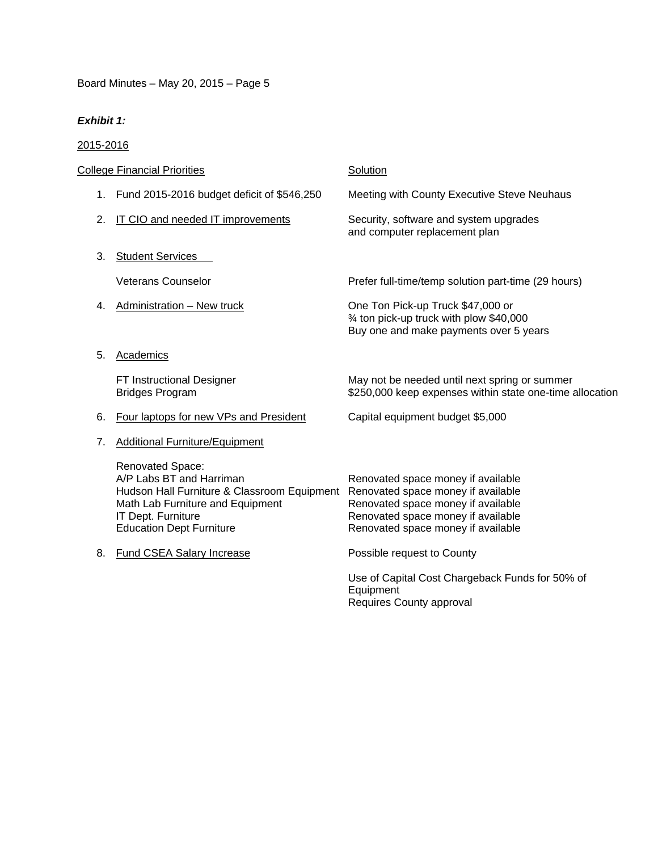# *Exhibit 1:*

# 2015-2016

| <b>College Financial Priorities</b> |                                                                                                                                                                                          | Solution                                                                                                                                                                                   |
|-------------------------------------|------------------------------------------------------------------------------------------------------------------------------------------------------------------------------------------|--------------------------------------------------------------------------------------------------------------------------------------------------------------------------------------------|
| 1.                                  | Fund 2015-2016 budget deficit of \$546,250                                                                                                                                               | Meeting with County Executive Steve Neuhaus                                                                                                                                                |
| 2.                                  | IT CIO and needed IT improvements                                                                                                                                                        | Security, software and system upgrades<br>and computer replacement plan                                                                                                                    |
| 3.                                  | <b>Student Services</b>                                                                                                                                                                  |                                                                                                                                                                                            |
|                                     | <b>Veterans Counselor</b>                                                                                                                                                                | Prefer full-time/temp solution part-time (29 hours)                                                                                                                                        |
| 4.                                  | Administration - New truck                                                                                                                                                               | One Ton Pick-up Truck \$47,000 or<br>3⁄4 ton pick-up truck with plow \$40,000<br>Buy one and make payments over 5 years                                                                    |
| 5.                                  | Academics                                                                                                                                                                                |                                                                                                                                                                                            |
|                                     | FT Instructional Designer<br><b>Bridges Program</b>                                                                                                                                      | May not be needed until next spring or summer<br>\$250,000 keep expenses within state one-time allocation                                                                                  |
| 6.                                  | Four laptops for new VPs and President                                                                                                                                                   | Capital equipment budget \$5,000                                                                                                                                                           |
| 7.                                  | <b>Additional Furniture/Equipment</b>                                                                                                                                                    |                                                                                                                                                                                            |
|                                     | Renovated Space:<br>A/P Labs BT and Harriman<br>Hudson Hall Furniture & Classroom Equipment<br>Math Lab Furniture and Equipment<br>IT Dept. Furniture<br><b>Education Dept Furniture</b> | Renovated space money if available<br>Renovated space money if available<br>Renovated space money if available<br>Renovated space money if available<br>Renovated space money if available |
| 8.                                  | Fund CSEA Salary Increase                                                                                                                                                                | Possible request to County                                                                                                                                                                 |
|                                     |                                                                                                                                                                                          | Use of Capital Cost Chargeback Funds for 50% of<br>Equipment<br>Requires County approval                                                                                                   |